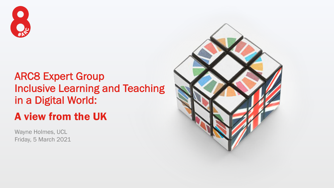

## ARC8 Expert Group Inclusive Learning and Teaching in a Digital World:

## A view from the UK

Wayne Holmes, UCL Friday, 5 March 2021

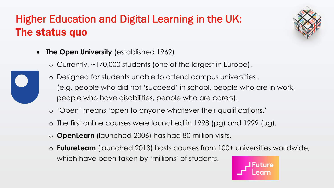# Higher Education and Digital Learning in the UK: The status quo



- **The Open University** (established 1969)
	- o Currently, ~170,000 students (one of the largest in Europe).
	- o Designed for students unable to attend campus universities . (e.g. people who did not 'succeed' in school, people who are in work, people who have disabilities, people who are carers).
	- o 'Open' means 'open to anyone whatever their qualifications.'
	- o The first online courses were launched in 1998 (pg) and 1999 (ug).
	- o **OpenLearn** (launched 2006) has had 80 million visits.
	- o **FutureLearn** (launched 2013) hosts courses from 100+ universities worldwide, which have been taken by 'millions' of students.

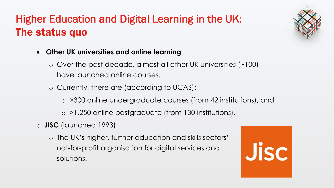## Higher Education and Digital Learning in the UK: The status quo



- **Other UK universities and online learning**
	- o Over the past decade, almost all other UK universities (~100) have launched online courses.
	- o Currently, there are (according to UCAS):
		- o >300 online undergraduate courses (from 42 institutions), and
		- o >1,250 online postgraduate (from 130 institutions).
- o **JISC** (launched 1993)
	- o The UK's higher, further education and skills sectors' not-for-profit organisation for digital services and solutions.

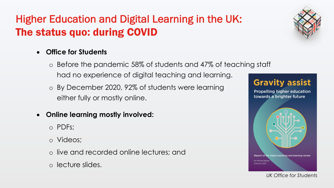# Higher Education and Digital Learning in the UK: The status quo: during COVID

#### • **Office for Students**

### o Before the pandemic 58% of students and 47% of teaching staff had no experience of digital teaching and learning.

- o By December 2020, 92% of students were learning either fully or mostly online.
- **Online learning mostly involved:**
	- o PDFs;
	- o Videos;
	- o live and recorded online lectures; and
	- o lecture slides.



*UK Office for Students*

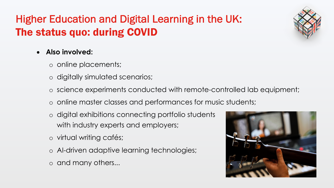# Higher Education and Digital Learning in the UK: The status quo: during COVID

#### • **Also involved:**

- o online placements;
- o digitally simulated scenarios;
- o science experiments conducted with remote-controlled lab equipment;
- o online master classes and performances for music students;
- o digital exhibitions connecting portfolio students with industry experts and employers;
- o virtual writing cafés;
- o AI-driven adaptive learning technologies;
- o and many others...

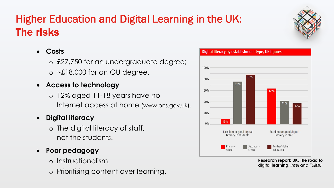# Higher Education and Digital Learning in the UK: The risks

### • **Costs**

o £27,750 for an undergraduate degree;  $\circ$  ~£18,000 for an OU degree.

#### • **Access to technology**

o 12% aged 11-18 years have no Internet access at home (www.ons.gov.uk).

### • **Digital literacy**

- o The digital literacy of staff, not the students.
- **Poor pedagogy**
	- o Instructionalism.
	- o Prioritising content over learning.



**Research report: UK. The road to digital learning**. *Intel and Fujitsu*